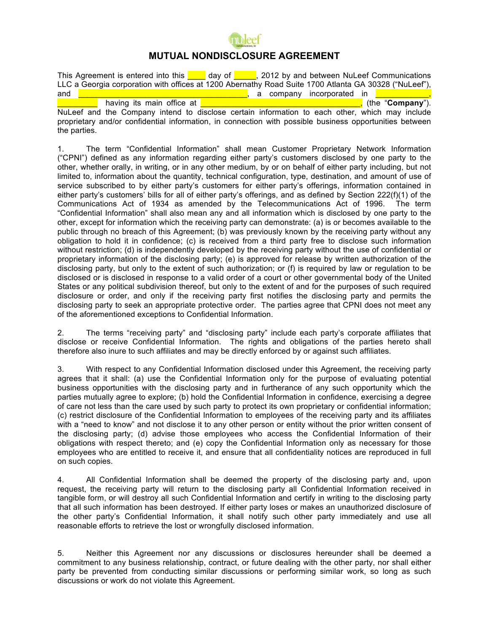

## **MUTUAL NONDISCLOSURE AGREEMENT**

This Agreement is entered into this  $\Box$  day of  $\Box$ , 2012 by and between NuLeef Communications LLC a Georgia corporation with offices at 1200 Abernathy Road Suite 1700 Atlanta GA 30328 ("NuLeef"), and  $\Box$  and  $\Box$  and  $\Box$  are  $\Box$  are  $\Box$  are  $\Box$  are  $\Box$  are company incorporated in  $\Box$ having its main office at **Exercise 20 and 20 and 20 and 20 and 20 and 20 and 20 and 20 and 20 and 20 and 20 and 20 and 20 and 20 and 20 and 20 and 20 and 20 and 20 and 20 and 20 and 20 and 20 and 20 and 20 and 20 and 20 a** NuLeef and the Company intend to disclose certain information to each other, which may include

proprietary and/or confidential information, in connection with possible business opportunities between the parties.

1. The term "Confidential Information" shall mean Customer Proprietary Network Information ("CPNI") defined as any information regarding either party's customers disclosed by one party to the other, whether orally, in writing, or in any other medium, by or on behalf of either party including, but not limited to, information about the quantity, technical configuration, type, destination, and amount of use of service subscribed to by either party's customers for either party's offerings, information contained in either party's customers' bills for all of either party's offerings, and as defined by Section 222(f)(1) of the Communications Act of 1934 as amended by the Telecommunications Act of 1996. The term "Confidential Information" shall also mean any and all information which is disclosed by one party to the other, except for information which the receiving party can demonstrate: (a) is or becomes available to the public through no breach of this Agreement; (b) was previously known by the receiving party without any obligation to hold it in confidence; (c) is received from a third party free to disclose such information without restriction; (d) is independently developed by the receiving party without the use of confidential or proprietary information of the disclosing party; (e) is approved for release by written authorization of the disclosing party, but only to the extent of such authorization; or (f) is required by law or regulation to be disclosed or is disclosed in response to a valid order of a court or other governmental body of the United States or any political subdivision thereof, but only to the extent of and for the purposes of such required disclosure or order, and only if the receiving party first notifies the disclosing party and permits the disclosing party to seek an appropriate protective order. The parties agree that CPNI does not meet any of the aforementioned exceptions to Confidential Information.

2. The terms "receiving party" and "disclosing party" include each party's corporate affiliates that disclose or receive Confidential Information. The rights and obligations of the parties hereto shall therefore also inure to such affiliates and may be directly enforced by or against such affiliates.

3. With respect to any Confidential Information disclosed under this Agreement, the receiving party agrees that it shall: (a) use the Confidential Information only for the purpose of evaluating potential business opportunities with the disclosing party and in furtherance of any such opportunity which the parties mutually agree to explore; (b) hold the Confidential Information in confidence, exercising a degree of care not less than the care used by such party to protect its own proprietary or confidential information; (c) restrict disclosure of the Confidential Information to employees of the receiving party and its affiliates with a "need to know" and not disclose it to any other person or entity without the prior written consent of the disclosing party; (d) advise those employees who access the Confidential Information of their obligations with respect thereto; and (e) copy the Confidential Information only as necessary for those employees who are entitled to receive it, and ensure that all confidentiality notices are reproduced in full on such copies.

4. All Confidential Information shall be deemed the property of the disclosing party and, upon request, the receiving party will return to the disclosing party all Confidential Information received in tangible form, or will destroy all such Confidential Information and certify in writing to the disclosing party that all such information has been destroyed. If either party loses or makes an unauthorized disclosure of the other party's Confidential Information, it shall notify such other party immediately and use all reasonable efforts to retrieve the lost or wrongfully disclosed information.

5. Neither this Agreement nor any discussions or disclosures hereunder shall be deemed a commitment to any business relationship, contract, or future dealing with the other party, nor shall either party be prevented from conducting similar discussions or performing similar work, so long as such discussions or work do not violate this Agreement.